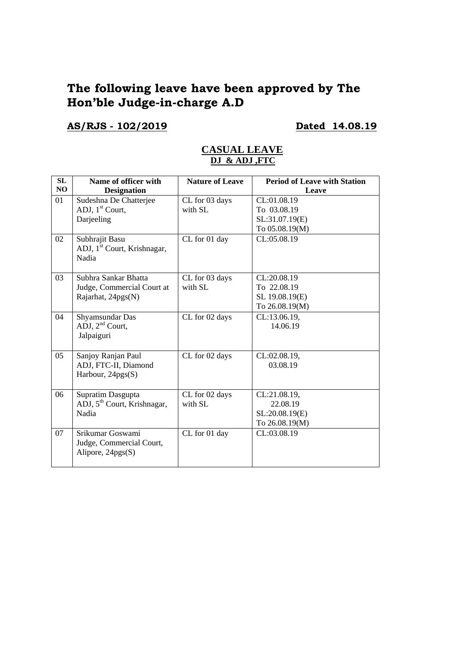## **The following leave have been approved by The Hon'ble Judge-in-charge A.D**

# **AS/RJS - 102/2019 Dated 14.08.19**

| SL<br>NO | Name of officer with<br><b>Designation</b>                               | <b>Nature of Leave</b>    | <b>Period of Leave with Station</b><br>Leave                   |
|----------|--------------------------------------------------------------------------|---------------------------|----------------------------------------------------------------|
| 01       | Sudeshna De Chatterjee<br>ADJ, $1st$ Court,<br>Darjeeling                | CL for 03 days<br>with SL | CL:01.08.19<br>To 03.08.19<br>SL:31.07.19(E)<br>To 05.08.19(M) |
| 02       | Subhrajit Basu<br>ADJ, 1 <sup>st</sup> Court, Krishnagar,<br>Nadia       | CL for 01 day             | CL:05.08.19                                                    |
| 03       | Subhra Sankar Bhatta<br>Judge, Commercial Court at<br>Rajarhat, 24pgs(N) | CL for 03 days<br>with SL | CL:20.08.19<br>To 22.08.19<br>SL 19.08.19(E)<br>To 26.08.19(M) |
| 04       | Shyamsundar Das<br>ADJ, $2nd$ Court,<br>Jalpaiguri                       | CL for 02 days            | CL:13.06.19,<br>14.06.19                                       |
| 05       | Sanjoy Ranjan Paul<br>ADJ, FTC-II, Diamond<br>Harbour, 24pgs(S)          | CL for 02 days            | CL:02.08.19,<br>03.08.19                                       |
| 06       | Supratim Dasgupta<br>ADJ, 5 <sup>th</sup> Court, Krishnagar,<br>Nadia    | CL for 02 days<br>with SL | CL:21.08.19,<br>22.08.19<br>SL:20.08.19(E)<br>To 26.08.19(M)   |
| 07       | Srikumar Goswami<br>Judge, Commercial Court,<br>Alipore, 24pgs(S)        | CL for 01 day             | CL:03.08.19                                                    |

### **CASUAL LEAVE DJ & ADJ ,FTC**